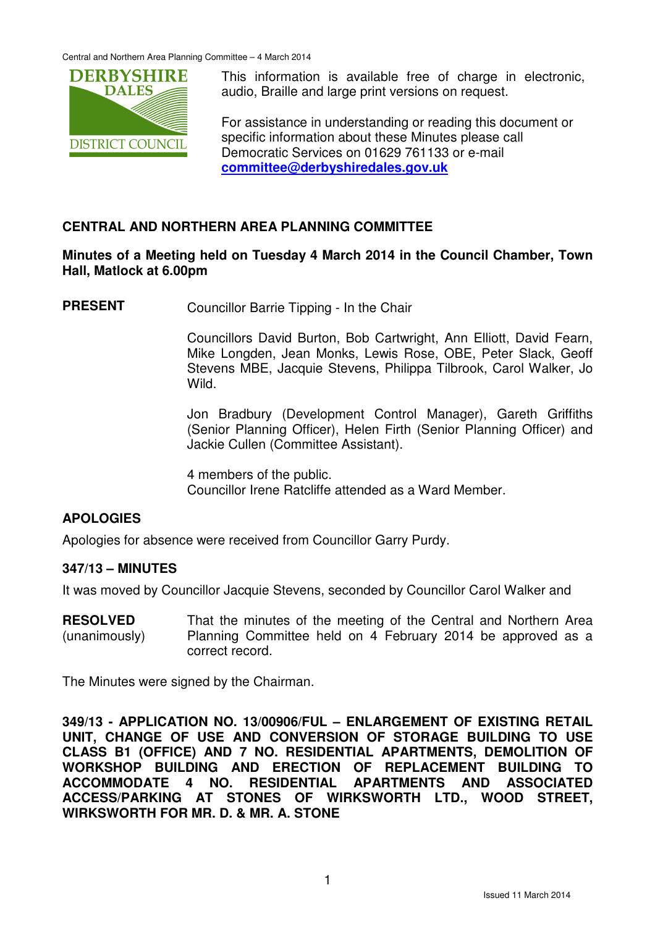Central and Northern Area Planning Committee – 4 March 2014



This information is available free of charge in electronic. audio, Braille and large print versions on request.

For assistance in understanding or reading this document or specific information about these Minutes please call Democratic Services on 01629 761133 or e-mail **committee@derbyshiredales.gov.uk**

## **CENTRAL AND NORTHERN AREA PLANNING COMMITTEE**

### **Minutes of a Meeting held on Tuesday 4 March 2014 in the Council Chamber, Town Hall, Matlock at 6.00pm**

**PRESENT** Councillor Barrie Tipping - In the Chair

 Councillors David Burton, Bob Cartwright, Ann Elliott, David Fearn, Mike Longden, Jean Monks, Lewis Rose, OBE, Peter Slack, Geoff Stevens MBE, Jacquie Stevens, Philippa Tilbrook, Carol Walker, Jo Wild.

 Jon Bradbury (Development Control Manager), Gareth Griffiths (Senior Planning Officer), Helen Firth (Senior Planning Officer) and Jackie Cullen (Committee Assistant).

4 members of the public. Councillor Irene Ratcliffe attended as a Ward Member.

## **APOLOGIES**

Apologies for absence were received from Councillor Garry Purdy.

#### **347/13 – MINUTES**

It was moved by Councillor Jacquie Stevens, seconded by Councillor Carol Walker and

**RESOLVED** (unanimously) That the minutes of the meeting of the Central and Northern Area Planning Committee held on 4 February 2014 be approved as a correct record.

The Minutes were signed by the Chairman.

**349/13 - APPLICATION NO. 13/00906/FUL – ENLARGEMENT OF EXISTING RETAIL UNIT, CHANGE OF USE AND CONVERSION OF STORAGE BUILDING TO USE CLASS B1 (OFFICE) AND 7 NO. RESIDENTIAL APARTMENTS, DEMOLITION OF WORKSHOP BUILDING AND ERECTION OF REPLACEMENT BUILDING TO ACCOMMODATE 4 NO. RESIDENTIAL APARTMENTS AND ASSOCIATED ACCESS/PARKING AT STONES OF WIRKSWORTH LTD., WOOD STREET, WIRKSWORTH FOR MR. D. & MR. A. STONE**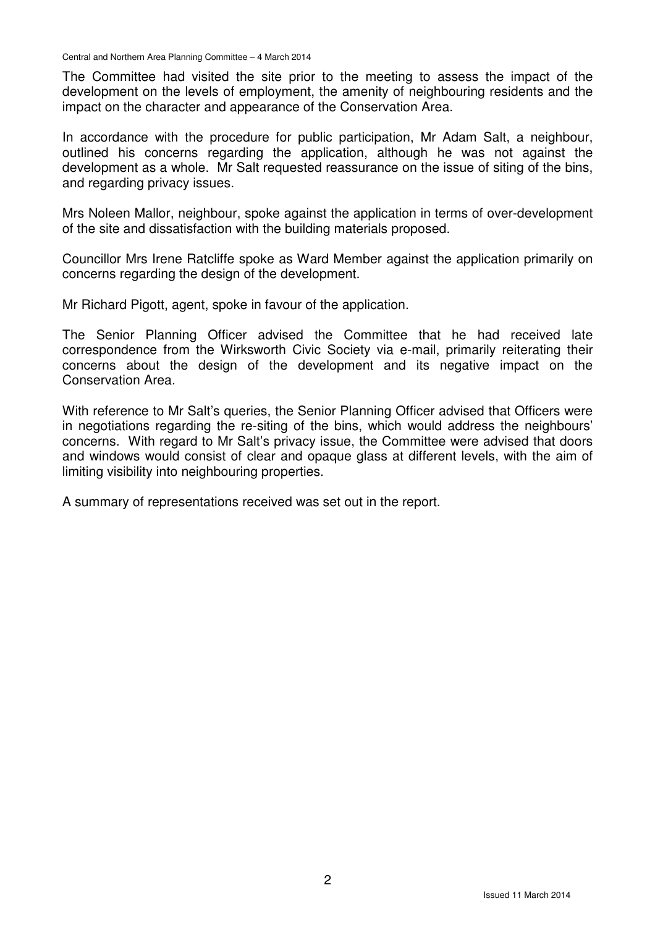Central and Northern Area Planning Committee – 4 March 2014

The Committee had visited the site prior to the meeting to assess the impact of the development on the levels of employment, the amenity of neighbouring residents and the impact on the character and appearance of the Conservation Area.

In accordance with the procedure for public participation, Mr Adam Salt, a neighbour, outlined his concerns regarding the application, although he was not against the development as a whole. Mr Salt requested reassurance on the issue of siting of the bins, and regarding privacy issues.

Mrs Noleen Mallor, neighbour, spoke against the application in terms of over-development of the site and dissatisfaction with the building materials proposed.

Councillor Mrs Irene Ratcliffe spoke as Ward Member against the application primarily on concerns regarding the design of the development.

Mr Richard Pigott, agent, spoke in favour of the application.

The Senior Planning Officer advised the Committee that he had received late correspondence from the Wirksworth Civic Society via e-mail, primarily reiterating their concerns about the design of the development and its negative impact on the Conservation Area.

With reference to Mr Salt's queries, the Senior Planning Officer advised that Officers were in negotiations regarding the re-siting of the bins, which would address the neighbours' concerns. With regard to Mr Salt's privacy issue, the Committee were advised that doors and windows would consist of clear and opaque glass at different levels, with the aim of limiting visibility into neighbouring properties.

A summary of representations received was set out in the report.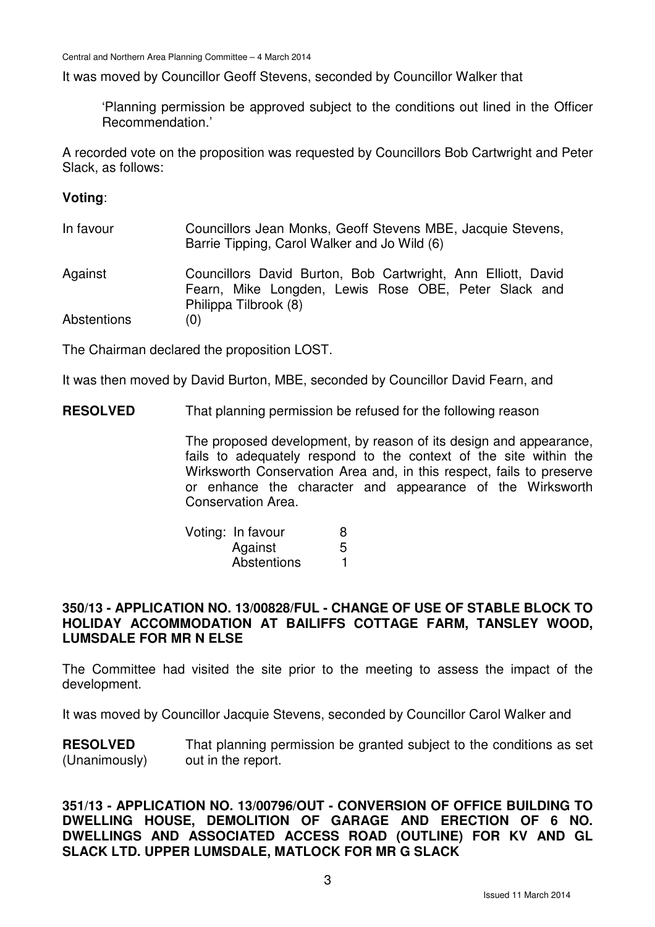It was moved by Councillor Geoff Stevens, seconded by Councillor Walker that

'Planning permission be approved subject to the conditions out lined in the Officer Recommendation.'

A recorded vote on the proposition was requested by Councillors Bob Cartwright and Peter Slack, as follows:

#### **Voting**:

| In favour | Councillors Jean Monks, Geoff Stevens MBE, Jacquie Stevens,<br>Barrie Tipping, Carol Walker and Jo Wild (6) |
|-----------|-------------------------------------------------------------------------------------------------------------|
| Against   | Councillors David Burton, Bob Cartwright, Ann Filiott, David                                                |

Against Councillors David Burton, Bob Cartwright, Ann Elliott, David Fearn, Mike Longden, Lewis Rose OBE, Peter Slack and Philippa Tilbrook (8)

Abstentions (0)

The Chairman declared the proposition LOST.

It was then moved by David Burton, MBE, seconded by Councillor David Fearn, and

**RESOLVED** That planning permission be refused for the following reason

The proposed development, by reason of its design and appearance, fails to adequately respond to the context of the site within the Wirksworth Conservation Area and, in this respect, fails to preserve or enhance the character and appearance of the Wirksworth Conservation Area.

| Voting: In favour |   |
|-------------------|---|
| Against           | 5 |
| Abstentions       |   |

#### **350/13 - APPLICATION NO. 13/00828/FUL - CHANGE OF USE OF STABLE BLOCK TO HOLIDAY ACCOMMODATION AT BAILIFFS COTTAGE FARM, TANSLEY WOOD, LUMSDALE FOR MR N ELSE**

The Committee had visited the site prior to the meeting to assess the impact of the development.

It was moved by Councillor Jacquie Stevens, seconded by Councillor Carol Walker and

**RESOLVED** (Unanimously) That planning permission be granted subject to the conditions as set out in the report.

#### **351/13 - APPLICATION NO. 13/00796/OUT - CONVERSION OF OFFICE BUILDING TO DWELLING HOUSE, DEMOLITION OF GARAGE AND ERECTION OF 6 NO. DWELLINGS AND ASSOCIATED ACCESS ROAD (OUTLINE) FOR KV AND GL SLACK LTD. UPPER LUMSDALE, MATLOCK FOR MR G SLACK**